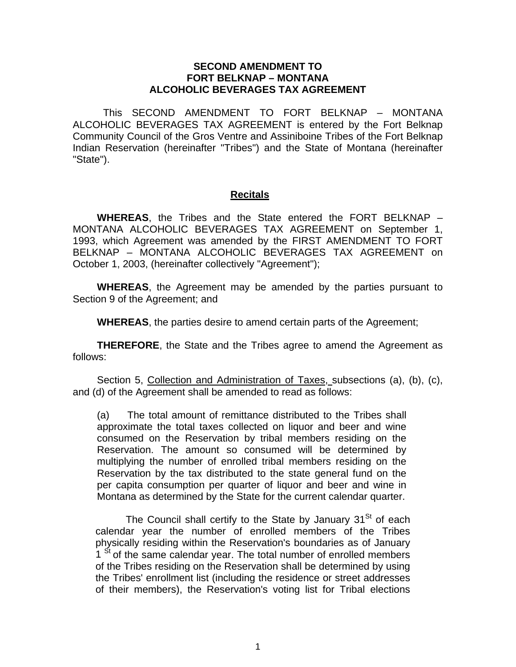## **SECOND AMENDMENT TO FORT BELKNAP – MONTANA ALCOHOLIC BEVERAGES TAX AGREEMENT**

This SECOND AMENDMENT TO FORT BELKNAP – MONTANA ALCOHOLIC BEVERAGES TAX AGREEMENT is entered by the Fort Belknap Community Council of the Gros Ventre and Assiniboine Tribes of the Fort Belknap Indian Reservation (hereinafter "Tribes") and the State of Montana (hereinafter "State").

## **Recitals**

**WHEREAS**, the Tribes and the State entered the FORT BELKNAP – MONTANA ALCOHOLIC BEVERAGES TAX AGREEMENT on September 1, 1993, which Agreement was amended by the FIRST AMENDMENT TO FORT BELKNAP – MONTANA ALCOHOLIC BEVERAGES TAX AGREEMENT on October 1, 2003, (hereinafter collectively "Agreement");

**WHEREAS**, the Agreement may be amended by the parties pursuant to Section 9 of the Agreement; and

**WHEREAS**, the parties desire to amend certain parts of the Agreement;

**THEREFORE**, the State and the Tribes agree to amend the Agreement as follows:

Section 5, Collection and Administration of Taxes, subsections (a), (b), (c), and (d) of the Agreement shall be amended to read as follows:

(a) The total amount of remittance distributed to the Tribes shall approximate the total taxes collected on liquor and beer and wine consumed on the Reservation by tribal members residing on the Reservation. The amount so consumed will be determined by multiplying the number of enrolled tribal members residing on the Reservation by the tax distributed to the state general fund on the per capita consumption per quarter of liquor and beer and wine in Montana as determined by the State for the current calendar quarter.

The Council shall certify to the State by January  $31<sup>St</sup>$  of each calendar year the number of enrolled members of the Tribes physically residing within the Reservation's boundaries as of January 1<sup>St</sup> of the same calendar year. The total number of enrolled members of the Tribes residing on the Reservation shall be determined by using the Tribes' enrollment list (including the residence or street addresses of their members), the Reservation's voting list for Tribal elections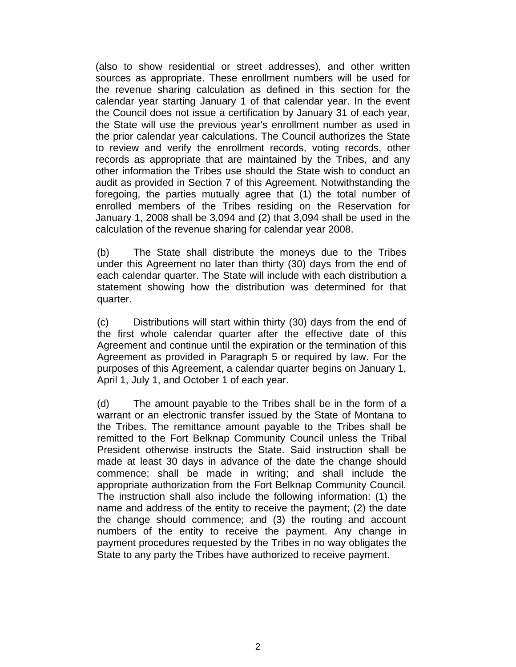(also to show residential or street addresses), and other written sources as appropriate. These enrollment numbers will be used for the revenue sharing calculation as defined in this section for the calendar year starting January 1 of that calendar year. In the event the Council does not issue a certification by January 31 of each year, the State will use the previous year's enrollment number as used in the prior calendar year calculations. The Council authorizes the State to review and verify the enrollment records, voting records, other records as appropriate that are maintained by the Tribes, and any other information the Tribes use should the State wish to conduct an audit as provided in Section 7 of this Agreement. Notwithstanding the foregoing, the parties mutually agree that (1) the total number of enrolled members of the Tribes residing on the Reservation for January 1, 2008 shall be 3,094 and (2) that 3,094 shall be used in the calculation of the revenue sharing for calendar year 2008.

 (b) The State shall distribute the moneys due to the Tribes under this Agreement no later than thirty (30) days from the end of each calendar quarter. The State will include with each distribution a statement showing how the distribution was determined for that quarter.

(c) Distributions will start within thirty (30) days from the end of the first whole calendar quarter after the effective date of this Agreement and continue until the expiration or the termination of this Agreement as provided in Paragraph 5 or required by law. For the purposes of this Agreement, a calendar quarter begins on January 1, April 1, July 1, and October 1 of each year.

(d) The amount payable to the Tribes shall be in the form of a warrant or an electronic transfer issued by the State of Montana to the Tribes. The remittance amount payable to the Tribes shall be remitted to the Fort Belknap Community Council unless the Tribal President otherwise instructs the State. Said instruction shall be made at least 30 days in advance of the date the change should commence; shall be made in writing; and shall include the appropriate authorization from the Fort Belknap Community Council. The instruction shall also include the following information: (1) the name and address of the entity to receive the payment; (2) the date the change should commence; and (3) the routing and account numbers of the entity to receive the payment. Any change in payment procedures requested by the Tribes in no way obligates the State to any party the Tribes have authorized to receive payment.